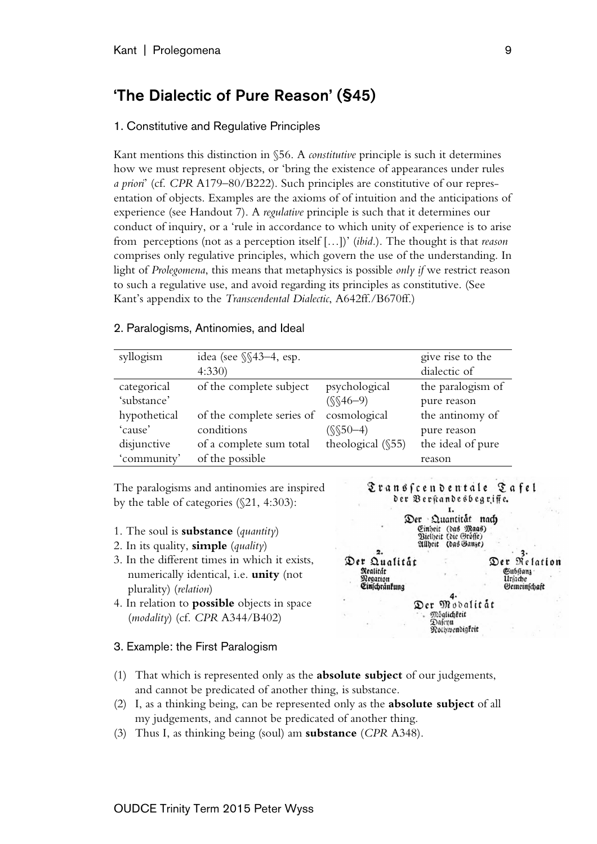# 'The Dialectic of Pure Reason' (§45)

## 1. Constitutive and Regulative Principles

Kant mentions this distinction in §56. A *constitutive* principle is such it determines how we must represent objects, or 'bring the existence of appearances under rules *a priori*' (cf. *CPR* A179–80/B222). Such principles are constitutive of our representation of objects. Examples are the axioms of of intuition and the anticipations of experience (see Handout 7). A *regulative* principle is such that it determines our conduct of inquiry, or a 'rule in accordance to which unity of experience is to arise from perceptions (not as a perception itself […])' (*ibid*.). The thought is that *reason* comprises only regulative principles, which govern the use of the understanding. In light of *Prolegomena*, this means that metaphysics is possible *only if* we restrict reason to such a regulative use, and avoid regarding its principles as constitutive. (See Kant's appendix to the *Transcendental Dialectic*, A642ff./B670ff.)

## 2. Paralogisms, Antinomies, and Ideal

| syllogism    | idea (see $\S$ $43-4$ , esp. |                      | give rise to the  |
|--------------|------------------------------|----------------------|-------------------|
|              | 4:330                        |                      | dialectic of      |
| categorical  | of the complete subject      | psychological        | the paralogism of |
| 'substance'  |                              | $(S(46-9)$           | pure reason       |
| hypothetical | of the complete series of    | cosmological         | the antinomy of   |
| 'cause'      | conditions                   | $(S$50-4)$           | pure reason       |
| disjunctive  | of a complete sum total      | theological $(\$55)$ | the ideal of pure |
| 'community'  | of the possible              |                      | reason            |

The paralogisms and antinomies are inspired by the table of categories (§21, 4:303):

- 1. The soul is **substance** (*quantity*)
- 2. In its quality, **simple** (*quality*)
- 3. In the different times in which it exists, numerically identical, i.e. **unity** (not plurality) (*relation*)
- 4. In relation to **possible** objects in space (*modality*) (cf. *CPR* A344/B402)

#### 3. Example: the First Paralogism



|                      | Der Quantitat                               | nach      |              |
|----------------------|---------------------------------------------|-----------|--------------|
|                      | Einheit (das Maas)<br>Bielheit (die Grösse) |           |              |
|                      | Allheit (das Ganze)                         |           |              |
|                      |                                             |           |              |
| Der Qualitat         |                                             |           | Der Relation |
| Realitat             |                                             | Gubstanz- |              |
| Negation             |                                             | Urjache   |              |
| <b>Cinfchrankung</b> |                                             |           | Gemeinschaft |
|                      |                                             |           |              |
|                      | Der Modalitat                               |           |              |
|                      | Möglichfeit                                 |           |              |
|                      | Dafenu                                      |           |              |
|                      | Nothwendigfeit                              |           |              |
|                      |                                             |           |              |

- (1) That which is represented only as the **absolute subject** of our judgements, and cannot be predicated of another thing, is substance.
- (2) I, as a thinking being, can be represented only as the **absolute subject** of all my judgements, and cannot be predicated of another thing.
- (3) Thus I, as thinking being (soul) am **substance** (*CPR* A348).